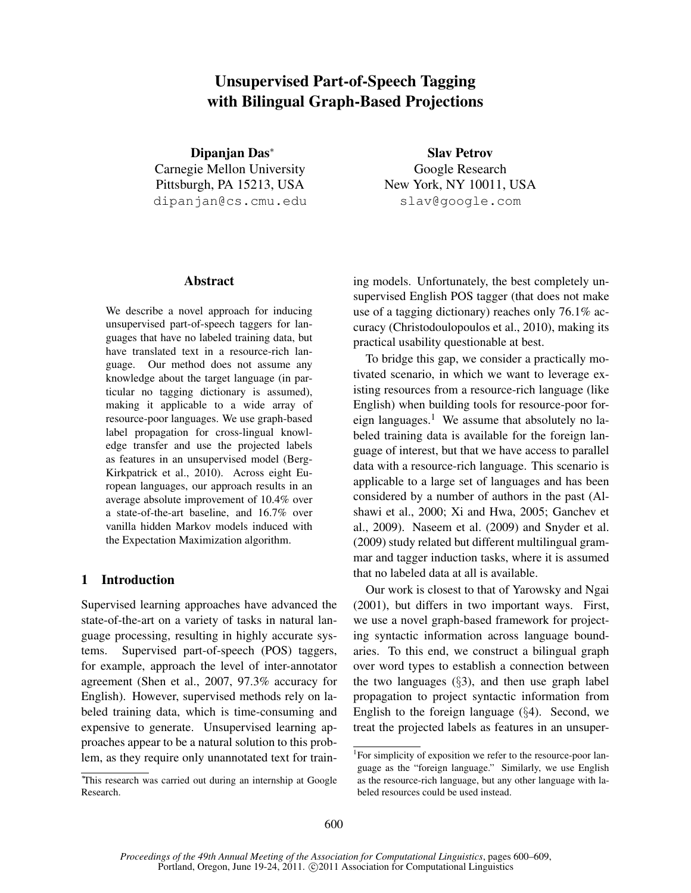# Unsupervised Part-of-Speech Tagging with Bilingual Graph-Based Projections

Dipanjan Das<sup>∗</sup> Carnegie Mellon University Pittsburgh, PA 15213, USA dipanjan@cs.cmu.edu

Slav Petrov Google Research New York, NY 10011, USA slav@google.com

## Abstract

We describe a novel approach for inducing unsupervised part-of-speech taggers for languages that have no labeled training data, but have translated text in a resource-rich language. Our method does not assume any knowledge about the target language (in particular no tagging dictionary is assumed), making it applicable to a wide array of resource-poor languages. We use graph-based label propagation for cross-lingual knowledge transfer and use the projected labels as features in an unsupervised model (Berg-Kirkpatrick et al., 2010). Across eight European languages, our approach results in an average absolute improvement of 10.4% over a state-of-the-art baseline, and 16.7% over vanilla hidden Markov models induced with the Expectation Maximization algorithm.

# 1 Introduction

Supervised learning approaches have advanced the state-of-the-art on a variety of tasks in natural language processing, resulting in highly accurate systems. Supervised part-of-speech (POS) taggers, for example, approach the level of inter-annotator agreement (Shen et al., 2007, 97.3% accuracy for English). However, supervised methods rely on labeled training data, which is time-consuming and expensive to generate. Unsupervised learning approaches appear to be a natural solution to this problem, as they require only unannotated text for training models. Unfortunately, the best completely unsupervised English POS tagger (that does not make use of a tagging dictionary) reaches only 76.1% accuracy (Christodoulopoulos et al., 2010), making its practical usability questionable at best.

To bridge this gap, we consider a practically motivated scenario, in which we want to leverage existing resources from a resource-rich language (like English) when building tools for resource-poor foreign languages.<sup>1</sup> We assume that absolutely no labeled training data is available for the foreign language of interest, but that we have access to parallel data with a resource-rich language. This scenario is applicable to a large set of languages and has been considered by a number of authors in the past (Alshawi et al., 2000; Xi and Hwa, 2005; Ganchev et al., 2009). Naseem et al. (2009) and Snyder et al. (2009) study related but different multilingual grammar and tagger induction tasks, where it is assumed that no labeled data at all is available.

Our work is closest to that of Yarowsky and Ngai (2001), but differs in two important ways. First, we use a novel graph-based framework for projecting syntactic information across language boundaries. To this end, we construct a bilingual graph over word types to establish a connection between the two languages (§3), and then use graph label propagation to project syntactic information from English to the foreign language (§4). Second, we treat the projected labels as features in an unsuper-

<sup>∗</sup>This research was carried out during an internship at Google Research.

<sup>&</sup>lt;sup>1</sup>For simplicity of exposition we refer to the resource-poor language as the "foreign language." Similarly, we use English as the resource-rich language, but any other language with labeled resources could be used instead.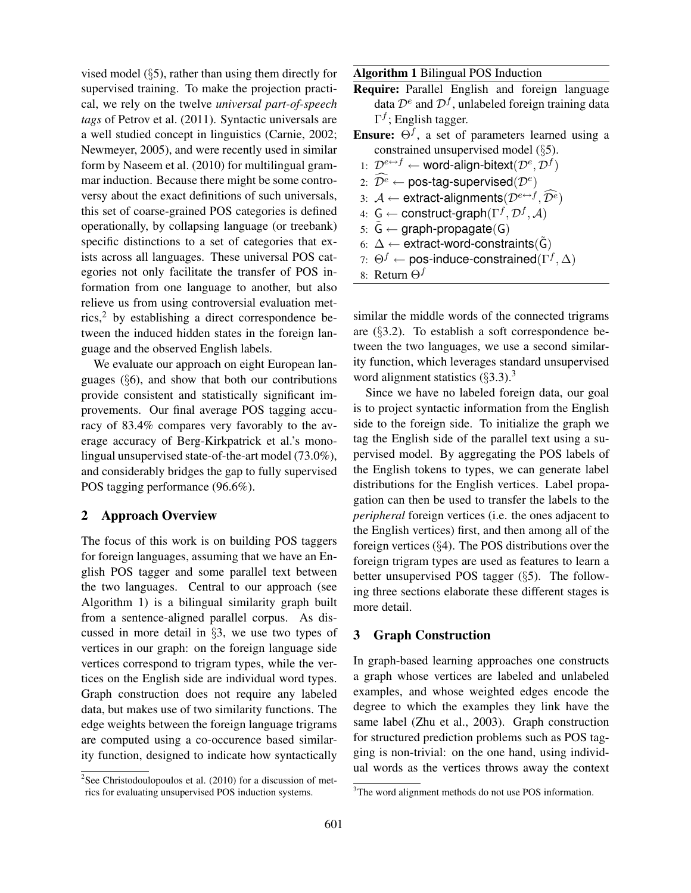vised model (§5), rather than using them directly for supervised training. To make the projection practical, we rely on the twelve *universal part-of-speech tags* of Petrov et al. (2011). Syntactic universals are a well studied concept in linguistics (Carnie, 2002; Newmeyer, 2005), and were recently used in similar form by Naseem et al. (2010) for multilingual grammar induction. Because there might be some controversy about the exact definitions of such universals, this set of coarse-grained POS categories is defined operationally, by collapsing language (or treebank) specific distinctions to a set of categories that exists across all languages. These universal POS categories not only facilitate the transfer of POS information from one language to another, but also relieve us from using controversial evaluation metrics,<sup>2</sup> by establishing a direct correspondence between the induced hidden states in the foreign language and the observed English labels.

We evaluate our approach on eight European languages  $(\S6)$ , and show that both our contributions provide consistent and statistically significant improvements. Our final average POS tagging accuracy of 83.4% compares very favorably to the average accuracy of Berg-Kirkpatrick et al.'s monolingual unsupervised state-of-the-art model (73.0%), and considerably bridges the gap to fully supervised POS tagging performance (96.6%).

# 2 Approach Overview

The focus of this work is on building POS taggers for foreign languages, assuming that we have an English POS tagger and some parallel text between the two languages. Central to our approach (see Algorithm 1) is a bilingual similarity graph built from a sentence-aligned parallel corpus. As discussed in more detail in §3, we use two types of vertices in our graph: on the foreign language side vertices correspond to trigram types, while the vertices on the English side are individual word types. Graph construction does not require any labeled data, but makes use of two similarity functions. The edge weights between the foreign language trigrams are computed using a co-occurence based similarity function, designed to indicate how syntactically

Algorithm 1 Bilingual POS Induction

- Require: Parallel English and foreign language data  $\mathcal{D}^e$  and  $\mathcal{D}^f$ , unlabeled foreign training data  $\Gamma^f$ ; English tagger.
- **Ensure:**  $\Theta^f$ , a set of parameters learned using a constrained unsupervised model (§5).
	- 1:  $\mathcal{D}^{e\leftrightarrow f} \leftarrow$  word-align-bitext $(\mathcal{D}^e, \mathcal{D}^f)$
- 2:  $\widehat{\mathcal{D}^e}\leftarrow \textsf{pos-tag-supervised}(\mathcal{D}^e)$
- 3:  $\mathcal{A} \leftarrow$  extract-alignments $(\mathcal{D}^{e \leftrightarrow f}, \widehat{\mathcal{D}^e})$
- 4:  $G \leftarrow$  construct-graph $(\Gamma^f, \mathcal{D}^f, \mathcal{A})$
- 5:  $\tilde{G} \leftarrow$  graph-propagate(G)
- 6:  $\Delta$  ← extract-word-constraints( $\tilde{G}$ )
- 7:  $\Theta^f \leftarrow$  pos-induce-constrained( $\Gamma^f, \Delta$ )
- 8: Return  $\Theta^f$

similar the middle words of the connected trigrams are (§3.2). To establish a soft correspondence between the two languages, we use a second similarity function, which leverages standard unsupervised word alignment statistics  $(\S3.3)$ .<sup>3</sup>

Since we have no labeled foreign data, our goal is to project syntactic information from the English side to the foreign side. To initialize the graph we tag the English side of the parallel text using a supervised model. By aggregating the POS labels of the English tokens to types, we can generate label distributions for the English vertices. Label propagation can then be used to transfer the labels to the *peripheral* foreign vertices (i.e. the ones adjacent to the English vertices) first, and then among all of the foreign vertices (§4). The POS distributions over the foreign trigram types are used as features to learn a better unsupervised POS tagger (§5). The following three sections elaborate these different stages is more detail.

## 3 Graph Construction

In graph-based learning approaches one constructs a graph whose vertices are labeled and unlabeled examples, and whose weighted edges encode the degree to which the examples they link have the same label (Zhu et al., 2003). Graph construction for structured prediction problems such as POS tagging is non-trivial: on the one hand, using individual words as the vertices throws away the context

 $2$ See Christodoulopoulos et al. (2010) for a discussion of metrics for evaluating unsupervised POS induction systems.

<sup>&</sup>lt;sup>3</sup>The word alignment methods do not use POS information.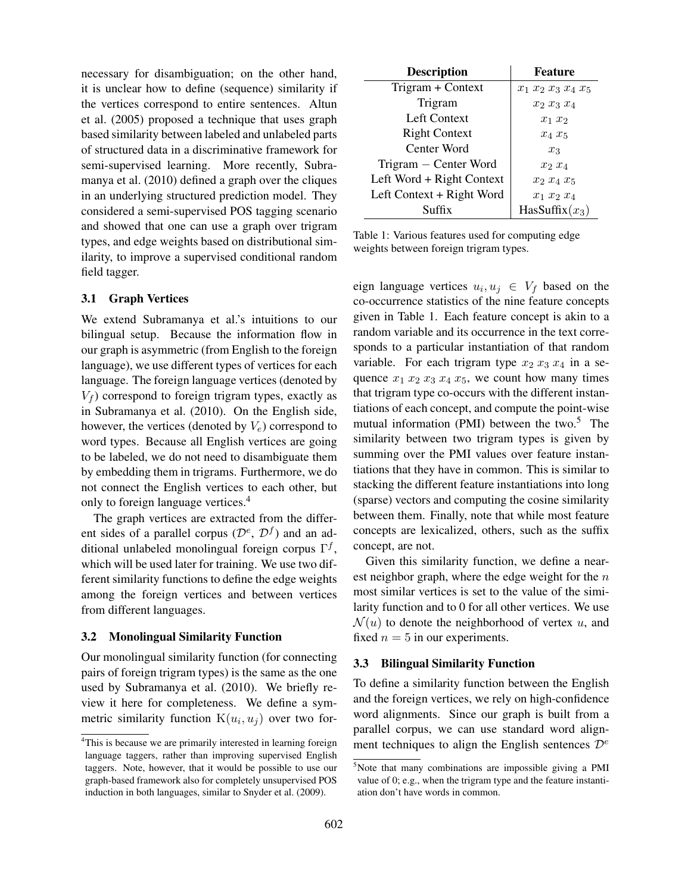necessary for disambiguation; on the other hand, it is unclear how to define (sequence) similarity if the vertices correspond to entire sentences. Altun et al. (2005) proposed a technique that uses graph based similarity between labeled and unlabeled parts of structured data in a discriminative framework for semi-supervised learning. More recently, Subramanya et al. (2010) defined a graph over the cliques in an underlying structured prediction model. They considered a semi-supervised POS tagging scenario and showed that one can use a graph over trigram types, and edge weights based on distributional similarity, to improve a supervised conditional random field tagger.

## 3.1 Graph Vertices

We extend Subramanya et al.'s intuitions to our bilingual setup. Because the information flow in our graph is asymmetric (from English to the foreign language), we use different types of vertices for each language. The foreign language vertices (denoted by  $V_f$ ) correspond to foreign trigram types, exactly as in Subramanya et al. (2010). On the English side, however, the vertices (denoted by  $V_e$ ) correspond to word types. Because all English vertices are going to be labeled, we do not need to disambiguate them by embedding them in trigrams. Furthermore, we do not connect the English vertices to each other, but only to foreign language vertices.<sup>4</sup>

The graph vertices are extracted from the different sides of a parallel corpus  $(\mathcal{D}^e, \mathcal{D}^f)$  and an additional unlabeled monolingual foreign corpus  $\Gamma^f$ , which will be used later for training. We use two different similarity functions to define the edge weights among the foreign vertices and between vertices from different languages.

#### 3.2 Monolingual Similarity Function

Our monolingual similarity function (for connecting pairs of foreign trigram types) is the same as the one used by Subramanya et al. (2010). We briefly review it here for completeness. We define a symmetric similarity function  $K(u_i, u_j)$  over two for-

| <b>Description</b>        | <b>Feature</b>        |
|---------------------------|-----------------------|
| Trigram + Context         | $x_1 x_2 x_3 x_4 x_5$ |
| Trigram                   | $x_2$ $x_3$ $x_4$     |
| Left Context              | $x_1$ $x_2$           |
| <b>Right Context</b>      | $x_4 x_5$             |
| Center Word               | $x_3$                 |
| Trigram – Center Word     | $x_2$ $x_4$           |
| Left Word + Right Context | $x_2 x_4 x_5$         |
| Left Context + Right Word | $x_1 x_2 x_4$         |
| Suffix                    | HasSuffix $(x_3)$     |

Table 1: Various features used for computing edge weights between foreign trigram types.

eign language vertices  $u_i, u_j \in V_f$  based on the co-occurrence statistics of the nine feature concepts given in Table 1. Each feature concept is akin to a random variable and its occurrence in the text corresponds to a particular instantiation of that random variable. For each trigram type  $x_2$   $x_3$   $x_4$  in a sequence  $x_1$   $x_2$   $x_3$   $x_4$   $x_5$ , we count how many times that trigram type co-occurs with the different instantiations of each concept, and compute the point-wise mutual information (PMI) between the two. $5$  The similarity between two trigram types is given by summing over the PMI values over feature instantiations that they have in common. This is similar to stacking the different feature instantiations into long (sparse) vectors and computing the cosine similarity between them. Finally, note that while most feature concepts are lexicalized, others, such as the suffix concept, are not.

Given this similarity function, we define a nearest neighbor graph, where the edge weight for the  $n$ most similar vertices is set to the value of the similarity function and to 0 for all other vertices. We use  $\mathcal{N}(u)$  to denote the neighborhood of vertex u, and fixed  $n = 5$  in our experiments.

## 3.3 Bilingual Similarity Function

To define a similarity function between the English and the foreign vertices, we rely on high-confidence word alignments. Since our graph is built from a parallel corpus, we can use standard word alignment techniques to align the English sentences  $\mathcal{D}^e$ 

<sup>&</sup>lt;sup>4</sup>This is because we are primarily interested in learning foreign language taggers, rather than improving supervised English taggers. Note, however, that it would be possible to use our graph-based framework also for completely unsupervised POS induction in both languages, similar to Snyder et al. (2009).

<sup>5</sup>Note that many combinations are impossible giving a PMI value of 0; e.g., when the trigram type and the feature instantiation don't have words in common.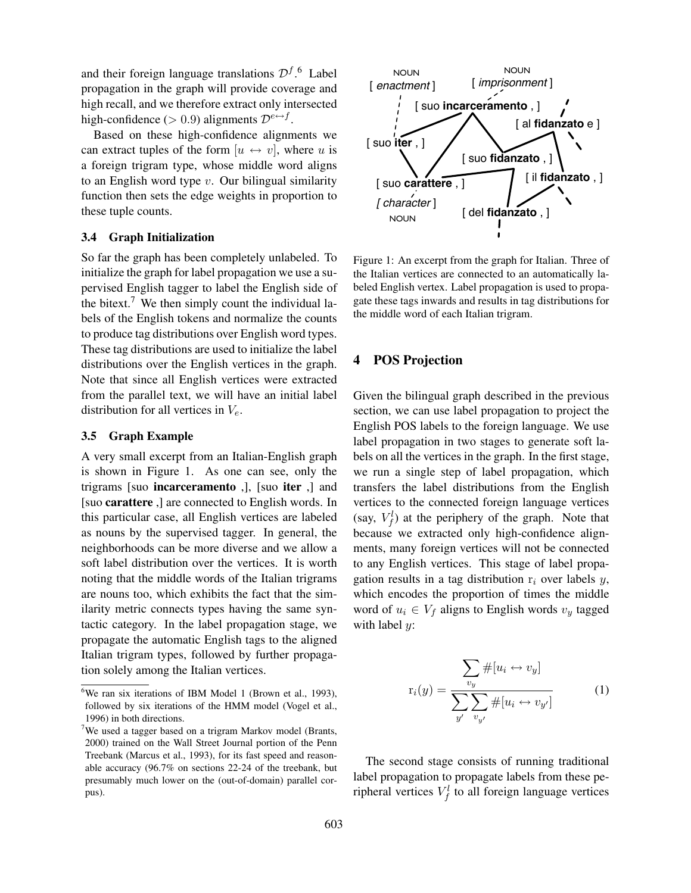and their foreign language translations  $\mathcal{D}^{f}$ .<sup>6</sup> Label propagation in the graph will provide coverage and high recall, and we therefore extract only intersected high-confidence (> 0.9) alignments  $\mathcal{D}^{e \leftrightarrow f}$ .

Based on these high-confidence alignments we can extract tuples of the form  $[u \leftrightarrow v]$ , where u is a foreign trigram type, whose middle word aligns to an English word type  $v$ . Our bilingual similarity function then sets the edge weights in proportion to these tuple counts.

## 3.4 Graph Initialization

So far the graph has been completely unlabeled. To initialize the graph for label propagation we use a supervised English tagger to label the English side of the bitext.<sup>7</sup> We then simply count the individual labels of the English tokens and normalize the counts to produce tag distributions over English word types. These tag distributions are used to initialize the label distributions over the English vertices in the graph. Note that since all English vertices were extracted from the parallel text, we will have an initial label distribution for all vertices in  $V_e$ .

#### 3.5 Graph Example

A very small excerpt from an Italian-English graph is shown in Figure 1. As one can see, only the trigrams [suo incarceramento ,], [suo iter ,] and [suo carattere ,] are connected to English words. In this particular case, all English vertices are labeled as nouns by the supervised tagger. In general, the neighborhoods can be more diverse and we allow a soft label distribution over the vertices. It is worth noting that the middle words of the Italian trigrams are nouns too, which exhibits the fact that the similarity metric connects types having the same syntactic category. In the label propagation stage, we propagate the automatic English tags to the aligned Italian trigram types, followed by further propagation solely among the Italian vertices.



Figure 1: An excerpt from the graph for Italian. Three of the Italian vertices are connected to an automatically labeled English vertex. Label propagation is used to propagate these tags inwards and results in tag distributions for the middle word of each Italian trigram.

# 4 POS Projection

Given the bilingual graph described in the previous section, we can use label propagation to project the English POS labels to the foreign language. We use label propagation in two stages to generate soft labels on all the vertices in the graph. In the first stage, we run a single step of label propagation, which transfers the label distributions from the English vertices to the connected foreign language vertices (say,  $V_f^l$ ) at the periphery of the graph. Note that because we extracted only high-confidence alignments, many foreign vertices will not be connected to any English vertices. This stage of label propagation results in a tag distribution  $r_i$  over labels y, which encodes the proportion of times the middle word of  $u_i \in V_f$  aligns to English words  $v_y$  tagged with label *:* 

$$
\mathbf{r}_i(y) = \frac{\sum_{v_y} \# [u_i \leftrightarrow v_y]}{\sum_{y'} \sum_{v_{y'}} \# [u_i \leftrightarrow v_{y'}]} \tag{1}
$$

The second stage consists of running traditional label propagation to propagate labels from these peripheral vertices  $V_f^l$  to all foreign language vertices

<sup>&</sup>lt;sup>6</sup>We ran six iterations of IBM Model 1 (Brown et al., 1993), followed by six iterations of the HMM model (Vogel et al., 1996) in both directions.

 $7$ We used a tagger based on a trigram Markov model (Brants, 2000) trained on the Wall Street Journal portion of the Penn Treebank (Marcus et al., 1993), for its fast speed and reasonable accuracy (96.7% on sections 22-24 of the treebank, but presumably much lower on the (out-of-domain) parallel corpus).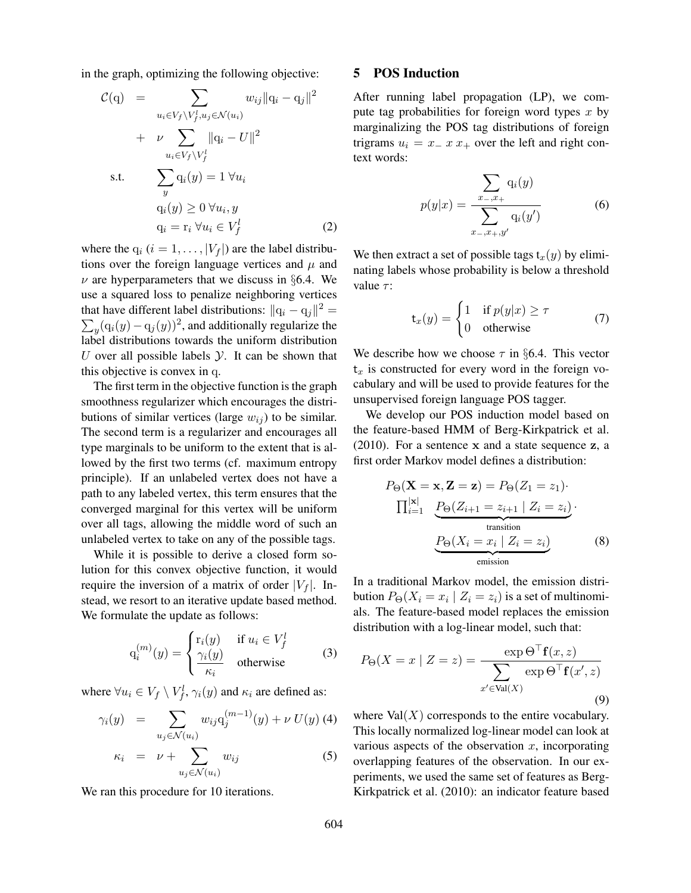in the graph, optimizing the following objective:

$$
\mathcal{C}(\mathbf{q}) = \sum_{u_i \in V_f \setminus V_f^l, u_j \in \mathcal{N}(u_i)} w_{ij} ||\mathbf{q}_i - \mathbf{q}_j||^2
$$
  
+  $\nu \sum_{u_i \in V_f \setminus V_f^l} ||\mathbf{q}_i - U||^2$   
s.t.  $\sum_{y} \mathbf{q}_i(y) = 1 \ \forall u_i$   
 $\mathbf{q}_i(y) \ge 0 \ \forall u_i, y$   
 $\mathbf{q}_i = \mathbf{r}_i \ \forall u_i \in V_f^l$  (2)

where the  $q_i$   $(i = 1, \ldots, |V_f|)$  are the label distributions over the foreign language vertices and  $\mu$  and  $\nu$  are hyperparameters that we discuss in §6.4. We use a squared loss to penalize neighboring vertices that have different label distributions:  $||q_i - q_j||^2 =$  $\sum_{y} (q_i(y) - q_j(y))^2$ , and additionally regularize the label distributions towards the uniform distribution U over all possible labels  $\mathcal Y$ . It can be shown that this objective is convex in q.

The first term in the objective function is the graph smoothness regularizer which encourages the distributions of similar vertices (large  $w_{ij}$ ) to be similar. The second term is a regularizer and encourages all type marginals to be uniform to the extent that is allowed by the first two terms (cf. maximum entropy principle). If an unlabeled vertex does not have a path to any labeled vertex, this term ensures that the converged marginal for this vertex will be uniform over all tags, allowing the middle word of such an unlabeled vertex to take on any of the possible tags.

While it is possible to derive a closed form solution for this convex objective function, it would require the inversion of a matrix of order  $|V_f|$ . Instead, we resort to an iterative update based method. We formulate the update as follows:

$$
q_i^{(m)}(y) = \begin{cases} r_i(y) & \text{if } u_i \in V_f^l \\ \frac{\gamma_i(y)}{\kappa_i} & \text{otherwise} \end{cases}
$$
 (3)

where  $\forall u_i \in V_f \setminus V_f^l$ ,  $\gamma_i(y)$  and  $\kappa_i$  are defined as:

$$
\gamma_i(y) = \sum_{u_j \in \mathcal{N}(u_i)} w_{ij} q_j^{(m-1)}(y) + \nu U(y) \tag{4}
$$

$$
\kappa_i = \nu + \sum_{u_j \in \mathcal{N}(u_i)} w_{ij} \tag{5}
$$

We ran this procedure for 10 iterations.

# 5 POS Induction

After running label propagation (LP), we compute tag probabilities for foreign word types  $x$  by marginalizing the POS tag distributions of foreign trigrams  $u_i = x - x + 1$  over the left and right context words:

$$
p(y|x) = \frac{\sum_{x_-,x_+} q_i(y)}{\sum_{x_-,x_+,y'} q_i(y')}
$$
 (6)

We then extract a set of possible tags  $t_x(y)$  by eliminating labels whose probability is below a threshold value  $\tau$ :

$$
\mathbf{t}_x(y) = \begin{cases} 1 & \text{if } p(y|x) \ge \tau \\ 0 & \text{otherwise} \end{cases}
$$
 (7)

We describe how we choose  $\tau$  in §6.4. This vector  $t<sub>x</sub>$  is constructed for every word in the foreign vocabulary and will be used to provide features for the unsupervised foreign language POS tagger.

We develop our POS induction model based on the feature-based HMM of Berg-Kirkpatrick et al. (2010). For a sentence x and a state sequence z, a first order Markov model defines a distribution:

$$
P_{\Theta}(\mathbf{X} = \mathbf{x}, \mathbf{Z} = \mathbf{z}) = P_{\Theta}(Z_1 = z_1) \cdot \prod_{i=1}^{|\mathbf{x}|} \underbrace{P_{\Theta}(Z_{i+1} = z_{i+1} | Z_i = z_i)}_{\text{transition}} \cdot \underbrace{P_{\Theta}(X_i = x_i | Z_i = z_i)}_{\text{emission}} \tag{8}
$$

In a traditional Markov model, the emission distribution  $P_{\Theta}(X_i = x_i | Z_i = z_i)$  is a set of multinomials. The feature-based model replaces the emission distribution with a log-linear model, such that:

$$
P_{\Theta}(X = x \mid Z = z) = \frac{\exp \Theta^{\top} \mathbf{f}(x, z)}{\sum_{x' \in \text{Val}(X)} \exp \Theta^{\top} \mathbf{f}(x', z)}
$$
(9)

where  $Val(X)$  corresponds to the entire vocabulary. This locally normalized log-linear model can look at various aspects of the observation  $x$ , incorporating overlapping features of the observation. In our experiments, we used the same set of features as Berg-Kirkpatrick et al. (2010): an indicator feature based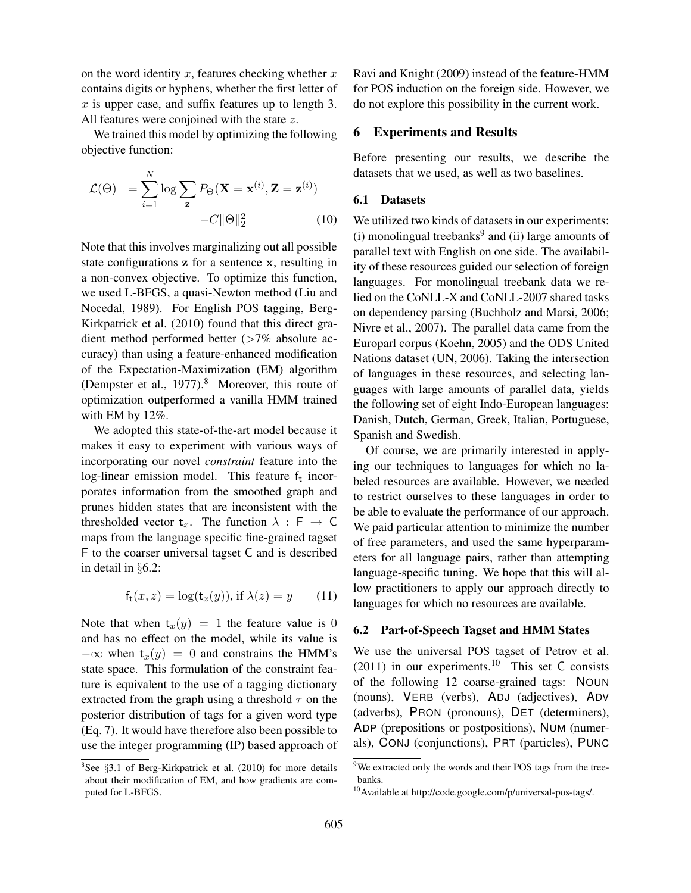on the word identity  $x$ , features checking whether  $x$ contains digits or hyphens, whether the first letter of  $x$  is upper case, and suffix features up to length 3. All features were conjoined with the state z.

We trained this model by optimizing the following objective function:

$$
\mathcal{L}(\Theta) = \sum_{i=1}^{N} \log \sum_{\mathbf{z}} P_{\Theta}(\mathbf{X} = \mathbf{x}^{(i)}, \mathbf{Z} = \mathbf{z}^{(i)}) - C \|\Theta\|_{2}^{2}
$$
(10)

Note that this involves marginalizing out all possible state configurations z for a sentence x, resulting in a non-convex objective. To optimize this function, we used L-BFGS, a quasi-Newton method (Liu and Nocedal, 1989). For English POS tagging, Berg-Kirkpatrick et al. (2010) found that this direct gradient method performed better (>7% absolute accuracy) than using a feature-enhanced modification of the Expectation-Maximization (EM) algorithm (Dempster et al., 1977).<sup>8</sup> Moreover, this route of optimization outperformed a vanilla HMM trained with EM by 12%.

We adopted this state-of-the-art model because it makes it easy to experiment with various ways of incorporating our novel *constraint* feature into the log-linear emission model. This feature  $f_t$  incorporates information from the smoothed graph and prunes hidden states that are inconsistent with the thresholded vector  $t_x$ . The function  $\lambda : F \to C$ maps from the language specific fine-grained tagset F to the coarser universal tagset C and is described in detail in §6.2:

$$
f_t(x, z) = \log(t_x(y)), \text{ if } \lambda(z) = y \qquad (11)
$$

Note that when  $t_x(y) = 1$  the feature value is 0 and has no effect on the model, while its value is  $-\infty$  when  $t_x(y) = 0$  and constrains the HMM's state space. This formulation of the constraint feature is equivalent to the use of a tagging dictionary extracted from the graph using a threshold  $\tau$  on the posterior distribution of tags for a given word type (Eq. 7). It would have therefore also been possible to use the integer programming (IP) based approach of Ravi and Knight (2009) instead of the feature-HMM for POS induction on the foreign side. However, we do not explore this possibility in the current work.

## 6 Experiments and Results

Before presenting our results, we describe the datasets that we used, as well as two baselines.

## 6.1 Datasets

We utilized two kinds of datasets in our experiments:  $(i)$  monolingual treebanks<sup>9</sup> and  $(ii)$  large amounts of parallel text with English on one side. The availability of these resources guided our selection of foreign languages. For monolingual treebank data we relied on the CoNLL-X and CoNLL-2007 shared tasks on dependency parsing (Buchholz and Marsi, 2006; Nivre et al., 2007). The parallel data came from the Europarl corpus (Koehn, 2005) and the ODS United Nations dataset (UN, 2006). Taking the intersection of languages in these resources, and selecting languages with large amounts of parallel data, yields the following set of eight Indo-European languages: Danish, Dutch, German, Greek, Italian, Portuguese, Spanish and Swedish.

Of course, we are primarily interested in applying our techniques to languages for which no labeled resources are available. However, we needed to restrict ourselves to these languages in order to be able to evaluate the performance of our approach. We paid particular attention to minimize the number of free parameters, and used the same hyperparameters for all language pairs, rather than attempting language-specific tuning. We hope that this will allow practitioners to apply our approach directly to languages for which no resources are available.

#### 6.2 Part-of-Speech Tagset and HMM States

We use the universal POS tagset of Petrov et al. (2011) in our experiments.<sup>10</sup> This set C consists of the following 12 coarse-grained tags: NOUN (nouns), VERB (verbs), ADJ (adjectives), ADV (adverbs), PRON (pronouns), DET (determiners), ADP (prepositions or postpositions), NUM (numerals), CONJ (conjunctions), PRT (particles), PUNC

<sup>&</sup>lt;sup>8</sup>See §3.1 of Berg-Kirkpatrick et al. (2010) for more details about their modification of EM, and how gradients are computed for L-BFGS.

<sup>&</sup>lt;sup>9</sup>We extracted only the words and their POS tags from the treebanks.

<sup>&</sup>lt;sup>10</sup>Available at http://code.google.com/p/universal-pos-tags/.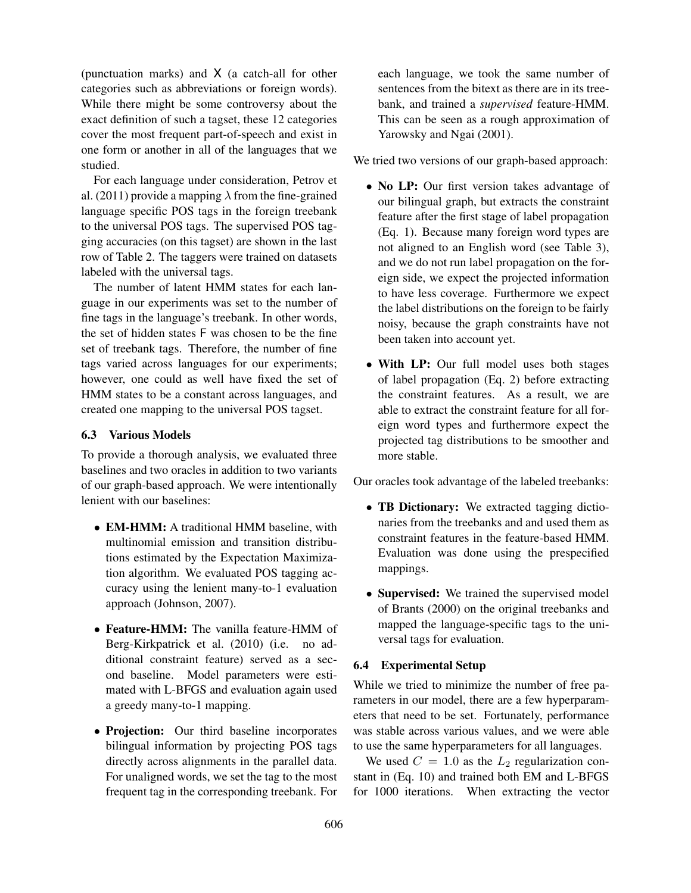(punctuation marks) and X (a catch-all for other categories such as abbreviations or foreign words). While there might be some controversy about the exact definition of such a tagset, these 12 categories cover the most frequent part-of-speech and exist in one form or another in all of the languages that we studied.

For each language under consideration, Petrov et al. (2011) provide a mapping  $\lambda$  from the fine-grained language specific POS tags in the foreign treebank to the universal POS tags. The supervised POS tagging accuracies (on this tagset) are shown in the last row of Table 2. The taggers were trained on datasets labeled with the universal tags.

The number of latent HMM states for each language in our experiments was set to the number of fine tags in the language's treebank. In other words, the set of hidden states F was chosen to be the fine set of treebank tags. Therefore, the number of fine tags varied across languages for our experiments; however, one could as well have fixed the set of HMM states to be a constant across languages, and created one mapping to the universal POS tagset.

## 6.3 Various Models

To provide a thorough analysis, we evaluated three baselines and two oracles in addition to two variants of our graph-based approach. We were intentionally lenient with our baselines:

- **EM-HMM:** A traditional HMM baseline, with multinomial emission and transition distributions estimated by the Expectation Maximization algorithm. We evaluated POS tagging accuracy using the lenient many-to-1 evaluation approach (Johnson, 2007).
- Feature-HMM: The vanilla feature-HMM of Berg-Kirkpatrick et al. (2010) (i.e. no additional constraint feature) served as a second baseline. Model parameters were estimated with L-BFGS and evaluation again used a greedy many-to-1 mapping.
- Projection: Our third baseline incorporates bilingual information by projecting POS tags directly across alignments in the parallel data. For unaligned words, we set the tag to the most frequent tag in the corresponding treebank. For

each language, we took the same number of sentences from the bitext as there are in its treebank, and trained a *supervised* feature-HMM. This can be seen as a rough approximation of Yarowsky and Ngai (2001).

We tried two versions of our graph-based approach:

- No LP: Our first version takes advantage of our bilingual graph, but extracts the constraint feature after the first stage of label propagation (Eq. 1). Because many foreign word types are not aligned to an English word (see Table 3), and we do not run label propagation on the foreign side, we expect the projected information to have less coverage. Furthermore we expect the label distributions on the foreign to be fairly noisy, because the graph constraints have not been taken into account yet.
- With LP: Our full model uses both stages of label propagation (Eq. 2) before extracting the constraint features. As a result, we are able to extract the constraint feature for all foreign word types and furthermore expect the projected tag distributions to be smoother and more stable.

Our oracles took advantage of the labeled treebanks:

- TB Dictionary: We extracted tagging dictionaries from the treebanks and and used them as constraint features in the feature-based HMM. Evaluation was done using the prespecified mappings.
- Supervised: We trained the supervised model of Brants (2000) on the original treebanks and mapped the language-specific tags to the universal tags for evaluation.

#### 6.4 Experimental Setup

While we tried to minimize the number of free parameters in our model, there are a few hyperparameters that need to be set. Fortunately, performance was stable across various values, and we were able to use the same hyperparameters for all languages.

We used  $C = 1.0$  as the  $L_2$  regularization constant in (Eq. 10) and trained both EM and L-BFGS for 1000 iterations. When extracting the vector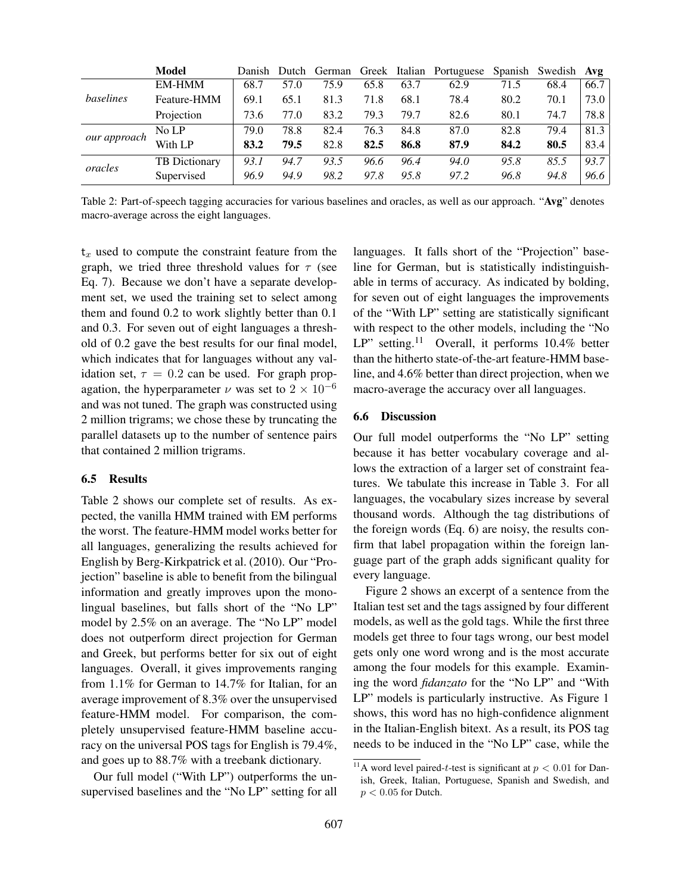|              | <b>Model</b>         | Danish | Dutch |      |      |      | German Greek Italian Portuguese |      | Spanish Swedish Avg |      |
|--------------|----------------------|--------|-------|------|------|------|---------------------------------|------|---------------------|------|
|              | <b>EM-HMM</b>        | 68.7   | 57.0  | 75.9 | 65.8 | 63.7 | 62.9                            | 71.5 | 68.4                | 66.7 |
| baselines    | Feature-HMM          | 69.1   | 65.1  | 81.3 | 71.8 | 68.1 | 78.4                            | 80.2 | 70.1                | 73.0 |
|              | Projection           | 73.6   | 77.0  | 83.2 | 79.3 | 79.7 | 82.6                            | 80.1 | 74.7                | 78.8 |
| our approach | No LP                | 79.0   | 78.8  | 82.4 | 76.3 | 84.8 | 87.0                            | 82.8 | 79.4                | 81.3 |
|              | With LP              | 83.2   | 79.5  | 82.8 | 82.5 | 86.8 | 87.9                            | 84.2 | 80.5                | 83.4 |
| oracles      | <b>TB</b> Dictionary | 93.1   | 94.7  | 93.5 | 96.6 | 96.4 | 94.0                            | 95.8 | 85.5                | 93.7 |
|              | Supervised           | 96.9   | 94.9  | 98.2 | 97.8 | 95.8 | 97.2                            | 96.8 | 94.8                | 96.6 |

Table 2: Part-of-speech tagging accuracies for various baselines and oracles, as well as our approach. "Avg" denotes macro-average across the eight languages.

 $t_x$  used to compute the constraint feature from the graph, we tried three threshold values for  $\tau$  (see Eq. 7). Because we don't have a separate development set, we used the training set to select among them and found 0.2 to work slightly better than 0.1 and 0.3. For seven out of eight languages a threshold of 0.2 gave the best results for our final model, which indicates that for languages without any validation set,  $\tau = 0.2$  can be used. For graph propagation, the hyperparameter  $\nu$  was set to  $2 \times 10^{-6}$ and was not tuned. The graph was constructed using 2 million trigrams; we chose these by truncating the parallel datasets up to the number of sentence pairs that contained 2 million trigrams.

#### 6.5 Results

Table 2 shows our complete set of results. As expected, the vanilla HMM trained with EM performs the worst. The feature-HMM model works better for all languages, generalizing the results achieved for English by Berg-Kirkpatrick et al. (2010). Our "Projection" baseline is able to benefit from the bilingual information and greatly improves upon the monolingual baselines, but falls short of the "No LP" model by 2.5% on an average. The "No LP" model does not outperform direct projection for German and Greek, but performs better for six out of eight languages. Overall, it gives improvements ranging from 1.1% for German to 14.7% for Italian, for an average improvement of 8.3% over the unsupervised feature-HMM model. For comparison, the completely unsupervised feature-HMM baseline accuracy on the universal POS tags for English is 79.4%, and goes up to 88.7% with a treebank dictionary.

Our full model ("With LP") outperforms the unsupervised baselines and the "No LP" setting for all languages. It falls short of the "Projection" baseline for German, but is statistically indistinguishable in terms of accuracy. As indicated by bolding, for seven out of eight languages the improvements of the "With LP" setting are statistically significant with respect to the other models, including the "No LP" setting.<sup>11</sup> Overall, it performs  $10.4\%$  better than the hitherto state-of-the-art feature-HMM baseline, and 4.6% better than direct projection, when we macro-average the accuracy over all languages.

## 6.6 Discussion

Our full model outperforms the "No LP" setting because it has better vocabulary coverage and allows the extraction of a larger set of constraint features. We tabulate this increase in Table 3. For all languages, the vocabulary sizes increase by several thousand words. Although the tag distributions of the foreign words (Eq. 6) are noisy, the results confirm that label propagation within the foreign language part of the graph adds significant quality for every language.

Figure 2 shows an excerpt of a sentence from the Italian test set and the tags assigned by four different models, as well as the gold tags. While the first three models get three to four tags wrong, our best model gets only one word wrong and is the most accurate among the four models for this example. Examining the word *fidanzato* for the "No LP" and "With LP" models is particularly instructive. As Figure 1 shows, this word has no high-confidence alignment in the Italian-English bitext. As a result, its POS tag needs to be induced in the "No LP" case, while the

<sup>&</sup>lt;sup>11</sup>A word level paired-t-test is significant at  $p < 0.01$  for Danish, Greek, Italian, Portuguese, Spanish and Swedish, and  $p < 0.05$  for Dutch.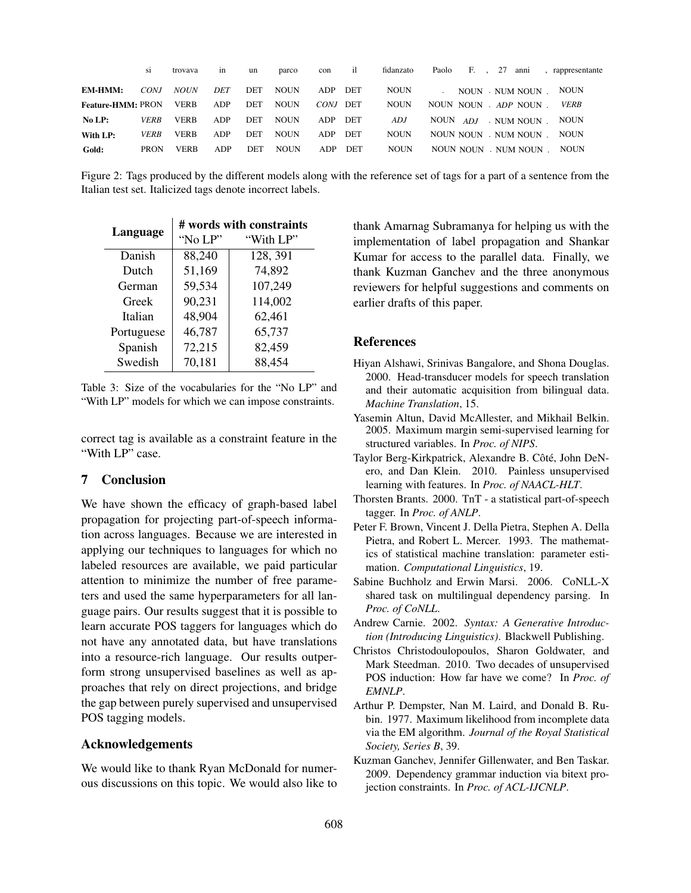|                          | S1          | trovava     | m   | un         | parco       | con      | il         | fidanzato   | Paolo F., 27 |  | anni                  | , rappresentante |
|--------------------------|-------------|-------------|-----|------------|-------------|----------|------------|-------------|--------------|--|-----------------------|------------------|
| <b>EM-HMM:</b>           | CONJ        | <b>NOUN</b> | DET | <b>DET</b> | <b>NOUN</b> | ADP      | DET        | <b>NOUN</b> |              |  | NOUN . NUM NOUN       | <b>NOUN</b>      |
| <b>Feature-HMM: PRON</b> |             | <b>VERB</b> | ADP | DET        | <b>NOUN</b> | CONJ DET |            | <b>NOUN</b> |              |  | NOUN NOUN ADP NOUN    | <b>VERB</b>      |
| No LP:                   | <b>VERB</b> | <b>VERB</b> | ADP | <b>DET</b> | <b>NOUN</b> | ADP      | DET        | ADJ         | NOUN ADJ     |  | . NUM NOUN            | <b>NOUN</b>      |
| With LP:                 | <b>VERB</b> | <b>VERB</b> | ADP | <b>DET</b> | <b>NOUN</b> | ADP      | <b>DET</b> | <b>NOUN</b> |              |  | NOUN NOUN . NUM NOUN. | <b>NOUN</b>      |
| Gold:                    | <b>PRON</b> | <b>VERB</b> | ADP | <b>DET</b> | <b>NOUN</b> | ADP      | DET        | <b>NOUN</b> |              |  | NOUN NOUN NUM NOUN.   | <b>NOUN</b>      |

Figure 2: Tags produced by the different models along with the reference set of tags for a part of a sentence from the Italian test set. Italicized tags denote incorrect labels.

| Language   | # words with constraints |           |  |  |  |  |  |  |
|------------|--------------------------|-----------|--|--|--|--|--|--|
|            | "No LP"                  | "With LP" |  |  |  |  |  |  |
| Danish     | 88,240                   | 128, 391  |  |  |  |  |  |  |
| Dutch      | 51,169                   | 74,892    |  |  |  |  |  |  |
| German     | 59,534                   | 107,249   |  |  |  |  |  |  |
| Greek      | 90,231                   | 114,002   |  |  |  |  |  |  |
| Italian    | 48,904                   | 62,461    |  |  |  |  |  |  |
| Portuguese | 46,787                   | 65,737    |  |  |  |  |  |  |
| Spanish    | 72,215                   | 82,459    |  |  |  |  |  |  |
| Swedish    | 70,181                   | 88,454    |  |  |  |  |  |  |

Table 3: Size of the vocabularies for the "No LP" and "With LP" models for which we can impose constraints.

correct tag is available as a constraint feature in the "With LP" case.

# 7 Conclusion

We have shown the efficacy of graph-based label propagation for projecting part-of-speech information across languages. Because we are interested in applying our techniques to languages for which no labeled resources are available, we paid particular attention to minimize the number of free parameters and used the same hyperparameters for all language pairs. Our results suggest that it is possible to learn accurate POS taggers for languages which do not have any annotated data, but have translations into a resource-rich language. Our results outperform strong unsupervised baselines as well as approaches that rely on direct projections, and bridge the gap between purely supervised and unsupervised POS tagging models.

## Acknowledgements

We would like to thank Ryan McDonald for numerous discussions on this topic. We would also like to thank Amarnag Subramanya for helping us with the implementation of label propagation and Shankar Kumar for access to the parallel data. Finally, we thank Kuzman Ganchev and the three anonymous reviewers for helpful suggestions and comments on earlier drafts of this paper.

## References

- Hiyan Alshawi, Srinivas Bangalore, and Shona Douglas. 2000. Head-transducer models for speech translation and their automatic acquisition from bilingual data. *Machine Translation*, 15.
- Yasemin Altun, David McAllester, and Mikhail Belkin. 2005. Maximum margin semi-supervised learning for structured variables. In *Proc. of NIPS*.
- Taylor Berg-Kirkpatrick, Alexandre B. Côté, John DeNero, and Dan Klein. 2010. Painless unsupervised learning with features. In *Proc. of NAACL-HLT*.
- Thorsten Brants. 2000. TnT a statistical part-of-speech tagger. In *Proc. of ANLP*.
- Peter F. Brown, Vincent J. Della Pietra, Stephen A. Della Pietra, and Robert L. Mercer. 1993. The mathematics of statistical machine translation: parameter estimation. *Computational Linguistics*, 19.
- Sabine Buchholz and Erwin Marsi. 2006. CoNLL-X shared task on multilingual dependency parsing. In *Proc. of CoNLL*.
- Andrew Carnie. 2002. *Syntax: A Generative Introduction (Introducing Linguistics)*. Blackwell Publishing.
- Christos Christodoulopoulos, Sharon Goldwater, and Mark Steedman. 2010. Two decades of unsupervised POS induction: How far have we come? In *Proc. of EMNLP*.
- Arthur P. Dempster, Nan M. Laird, and Donald B. Rubin. 1977. Maximum likelihood from incomplete data via the EM algorithm. *Journal of the Royal Statistical Society, Series B*, 39.
- Kuzman Ganchev, Jennifer Gillenwater, and Ben Taskar. 2009. Dependency grammar induction via bitext projection constraints. In *Proc. of ACL-IJCNLP*.